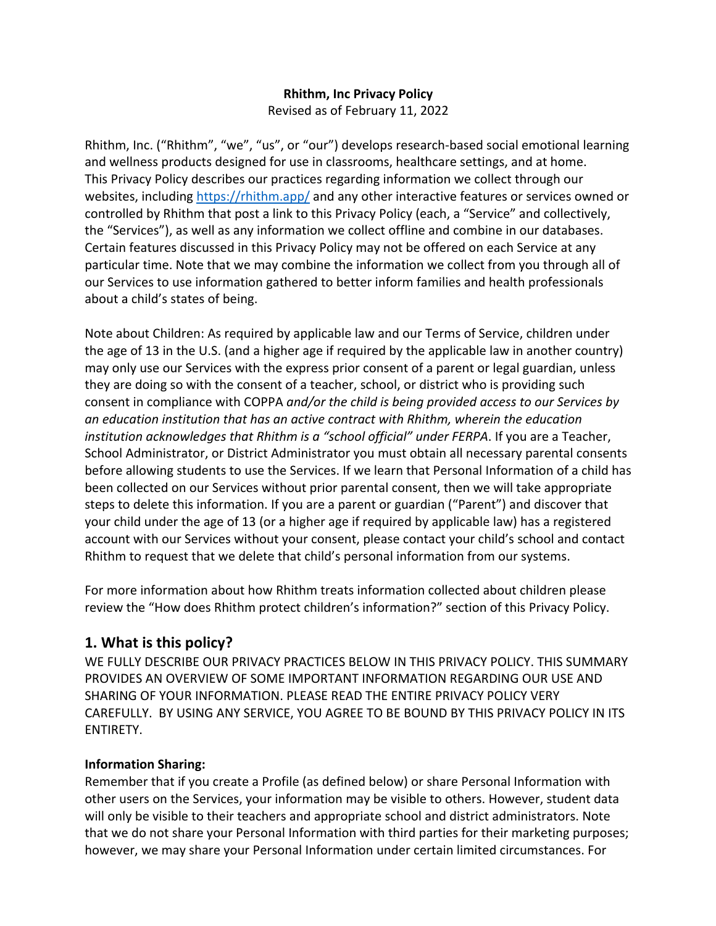## **Rhithm, Inc Privacy Policy** Revised as of February 11, 2022

Rhithm, Inc. ("Rhithm", "we", "us", or "our") develops research-based social emotional learning and wellness products designed for use in classrooms, healthcare settings, and at home. This Privacy Policy describes our practices regarding information we collect through our websites, including https://rhithm.app/ and any other interactive features or services owned or controlled by Rhithm that post a link to this Privacy Policy (each, a "Service" and collectively, the "Services"), as well as any information we collect offline and combine in our databases. Certain features discussed in this Privacy Policy may not be offered on each Service at any particular time. Note that we may combine the information we collect from you through all of our Services to use information gathered to better inform families and health professionals about a child's states of being.

Note about Children: As required by applicable law and our Terms of Service, children under the age of 13 in the U.S. (and a higher age if required by the applicable law in another country) may only use our Services with the express prior consent of a parent or legal guardian, unless they are doing so with the consent of a teacher, school, or district who is providing such consent in compliance with COPPA *and/or the child is being provided access to our Services by an education institution that has an active contract with Rhithm, wherein the education institution acknowledges that Rhithm is a "school official" under FERPA*. If you are a Teacher, School Administrator, or District Administrator you must obtain all necessary parental consents before allowing students to use the Services. If we learn that Personal Information of a child has been collected on our Services without prior parental consent, then we will take appropriate steps to delete this information. If you are a parent or guardian ("Parent") and discover that your child under the age of 13 (or a higher age if required by applicable law) has a registered account with our Services without your consent, please contact your child's school and contact Rhithm to request that we delete that child's personal information from our systems.

For more information about how Rhithm treats information collected about children please review the "How does Rhithm protect children's information?" section of this Privacy Policy.

# **1. What is this policy?**

WE FULLY DESCRIBE OUR PRIVACY PRACTICES BELOW IN THIS PRIVACY POLICY. THIS SUMMARY PROVIDES AN OVERVIEW OF SOME IMPORTANT INFORMATION REGARDING OUR USE AND SHARING OF YOUR INFORMATION. PLEASE READ THE ENTIRE PRIVACY POLICY VERY CAREFULLY. BY USING ANY SERVICE, YOU AGREE TO BE BOUND BY THIS PRIVACY POLICY IN ITS ENTIRETY.

# **Information Sharing:**

Remember that if you create a Profile (as defined below) or share Personal Information with other users on the Services, your information may be visible to others. However, student data will only be visible to their teachers and appropriate school and district administrators. Note that we do not share your Personal Information with third parties for their marketing purposes; however, we may share your Personal Information under certain limited circumstances. For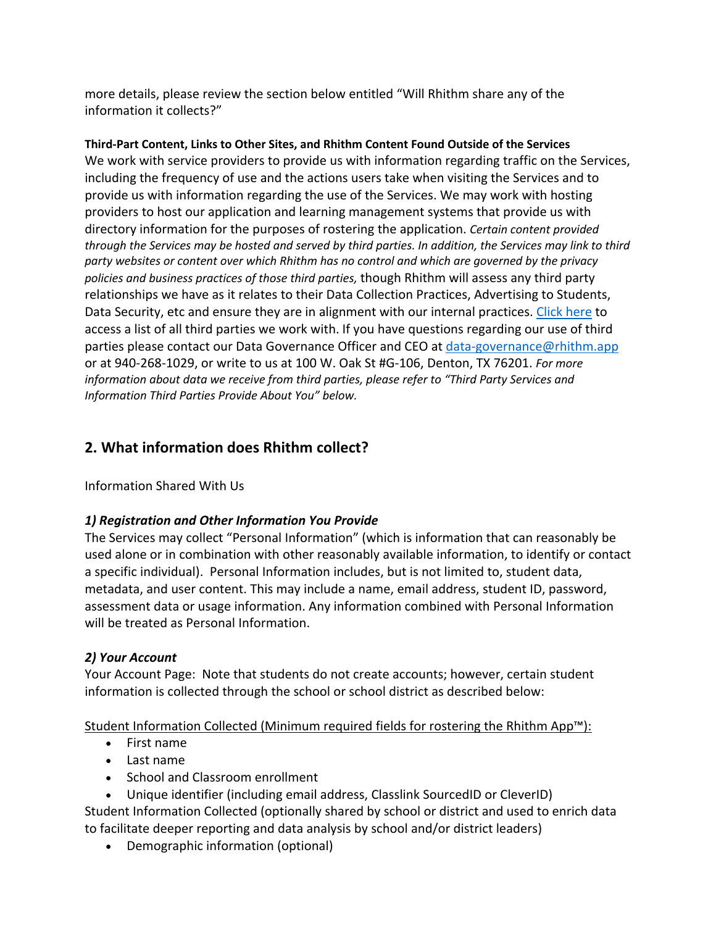more details, please review the section below entitled "Will Rhithm share any of the information it collects?"

**Third-Part Content, Links to Other Sites, and Rhithm Content Found Outside of the Services** We work with service providers to provide us with information regarding traffic on the Services, including the frequency of use and the actions users take when visiting the Services and to provide us with information regarding the use of the Services. We may work with hosting providers to host our application and learning management systems that provide us with directory information for the purposes of rostering the application. *Certain content provided through the Services may be hosted and served by third parties. In addition, the Services may link to third party websites or content over which Rhithm has no control and which are governed by the privacy policies and business practices of those third parties,* though Rhithm will assess any third party relationships we have as it relates to their Data Collection Practices, Advertising to Students, Data Security, etc and ensure they are in alignment with our internal practices. Click here to access a list of all third parties we work with. If you have questions regarding our use of third parties please contact our Data Governance Officer and CEO at data-governance@rhithm.app or at 940-268-1029, or write to us at 100 W. Oak St #G-106, Denton, TX 76201. *For more information about data we receive from third parties, please refer to "Third Party Services and Information Third Parties Provide About You" below.*

# **2. What information does Rhithm collect?**

Information Shared With Us

# *1) Registration and Other Information You Provide*

The Services may collect "Personal Information" (which is information that can reasonably be used alone or in combination with other reasonably available information, to identify or contact a specific individual). Personal Information includes, but is not limited to, student data, metadata, and user content. This may include a name, email address, student ID, password, assessment data or usage information. Any information combined with Personal Information will be treated as Personal Information.

# *2) Your Account*

Your Account Page: Note that students do not create accounts; however, certain student information is collected through the school or school district as described below:

Student Information Collected (Minimum required fields for rostering the Rhithm App™):

- First name
- Last name
- School and Classroom enrollment
- Unique identifier (including email address, Classlink SourcedID or CleverID)

Student Information Collected (optionally shared by school or district and used to enrich data to facilitate deeper reporting and data analysis by school and/or district leaders)

• Demographic information (optional)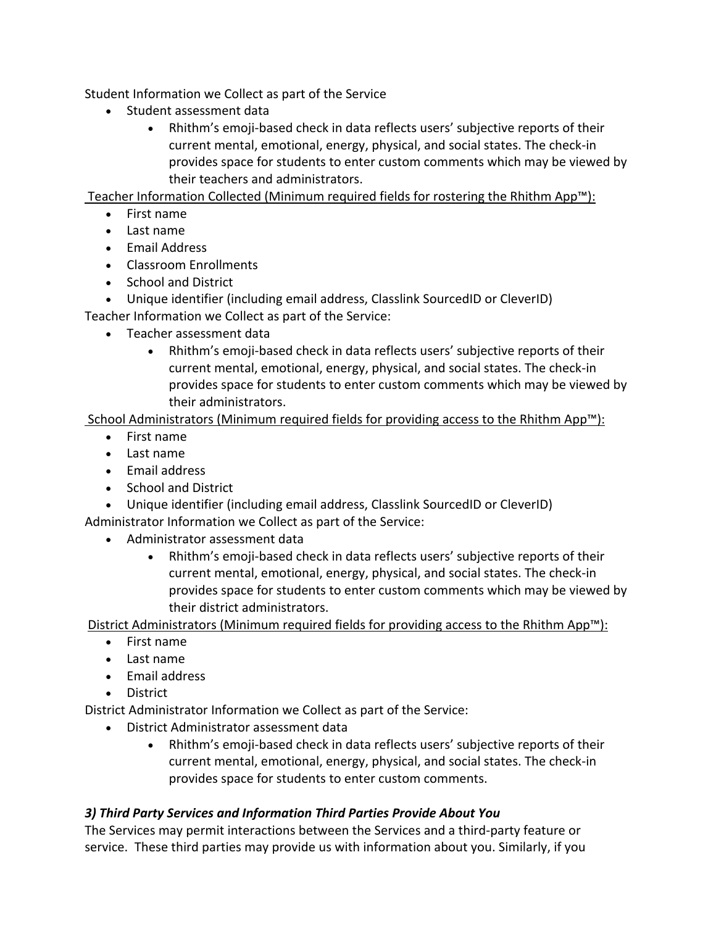Student Information we Collect as part of the Service

- Student assessment data
	- Rhithm's emoji-based check in data reflects users' subjective reports of their current mental, emotional, energy, physical, and social states. The check-in provides space for students to enter custom comments which may be viewed by their teachers and administrators.

Teacher Information Collected (Minimum required fields for rostering the Rhithm App™):

- First name
- Last name
- Email Address
- Classroom Enrollments
- School and District
- Unique identifier (including email address, Classlink SourcedID or CleverID)

Teacher Information we Collect as part of the Service:

- Teacher assessment data
	- Rhithm's emoji-based check in data reflects users' subjective reports of their current mental, emotional, energy, physical, and social states. The check-in provides space for students to enter custom comments which may be viewed by their administrators.

School Administrators (Minimum required fields for providing access to the Rhithm App™):

- First name
- Last name
- Email address
- School and District
- Unique identifier (including email address, Classlink SourcedID or CleverID)

Administrator Information we Collect as part of the Service:

- Administrator assessment data
	- Rhithm's emoji-based check in data reflects users' subjective reports of their current mental, emotional, energy, physical, and social states. The check-in provides space for students to enter custom comments which may be viewed by their district administrators.

District Administrators (Minimum required fields for providing access to the Rhithm App™):

- First name
- Last name
- Email address
- District

District Administrator Information we Collect as part of the Service:

- District Administrator assessment data
	- Rhithm's emoji-based check in data reflects users' subjective reports of their current mental, emotional, energy, physical, and social states. The check-in provides space for students to enter custom comments.

# *3) Third Party Services and Information Third Parties Provide About You*

The Services may permit interactions between the Services and a third-party feature or service. These third parties may provide us with information about you. Similarly, if you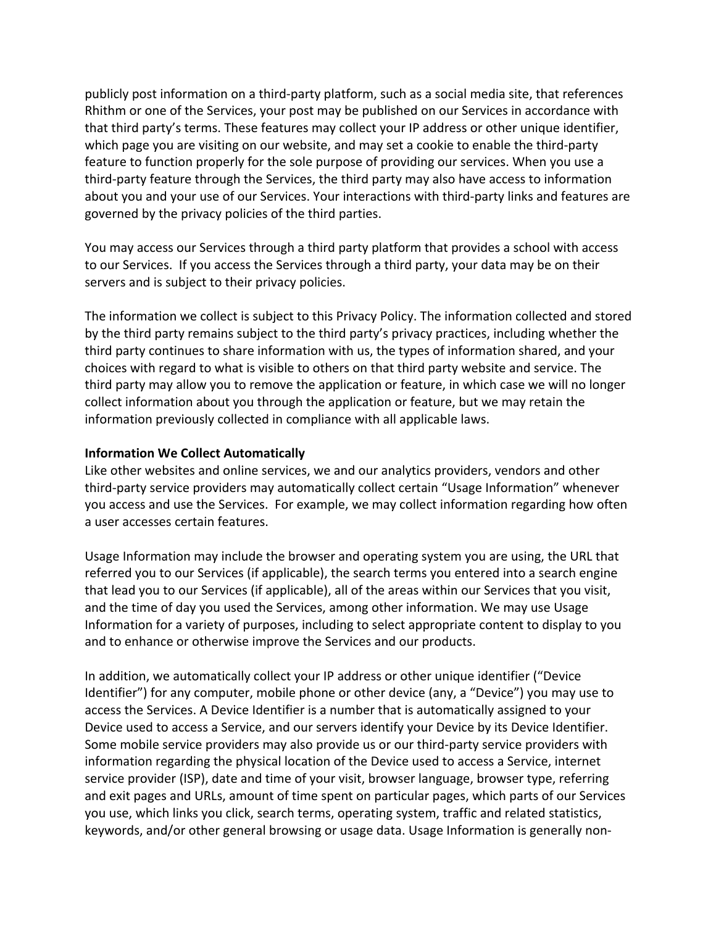publicly post information on a third-party platform, such as a social media site, that references Rhithm or one of the Services, your post may be published on our Services in accordance with that third party's terms. These features may collect your IP address or other unique identifier, which page you are visiting on our website, and may set a cookie to enable the third-party feature to function properly for the sole purpose of providing our services. When you use a third-party feature through the Services, the third party may also have access to information about you and your use of our Services. Your interactions with third-party links and features are governed by the privacy policies of the third parties.

You may access our Services through a third party platform that provides a school with access to our Services. If you access the Services through a third party, your data may be on their servers and is subject to their privacy policies.

The information we collect is subject to this Privacy Policy. The information collected and stored by the third party remains subject to the third party's privacy practices, including whether the third party continues to share information with us, the types of information shared, and your choices with regard to what is visible to others on that third party website and service. The third party may allow you to remove the application or feature, in which case we will no longer collect information about you through the application or feature, but we may retain the information previously collected in compliance with all applicable laws.

#### **Information We Collect Automatically**

Like other websites and online services, we and our analytics providers, vendors and other third-party service providers may automatically collect certain "Usage Information" whenever you access and use the Services. For example, we may collect information regarding how often a user accesses certain features.

Usage Information may include the browser and operating system you are using, the URL that referred you to our Services (if applicable), the search terms you entered into a search engine that lead you to our Services (if applicable), all of the areas within our Services that you visit, and the time of day you used the Services, among other information. We may use Usage Information for a variety of purposes, including to select appropriate content to display to you and to enhance or otherwise improve the Services and our products.

In addition, we automatically collect your IP address or other unique identifier ("Device Identifier") for any computer, mobile phone or other device (any, a "Device") you may use to access the Services. A Device Identifier is a number that is automatically assigned to your Device used to access a Service, and our servers identify your Device by its Device Identifier. Some mobile service providers may also provide us or our third-party service providers with information regarding the physical location of the Device used to access a Service, internet service provider (ISP), date and time of your visit, browser language, browser type, referring and exit pages and URLs, amount of time spent on particular pages, which parts of our Services you use, which links you click, search terms, operating system, traffic and related statistics, keywords, and/or other general browsing or usage data. Usage Information is generally non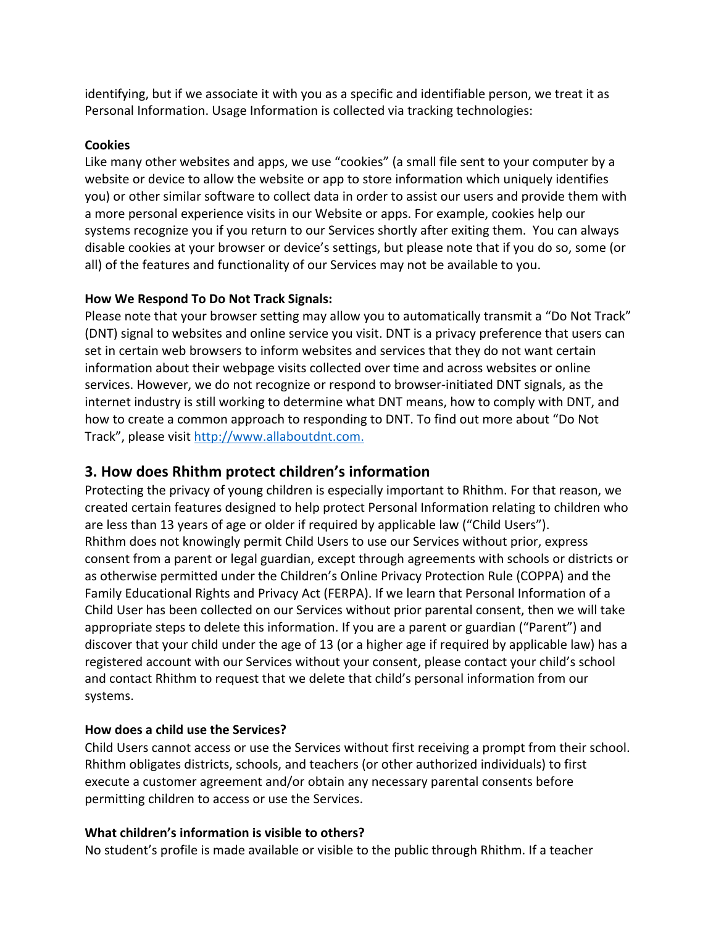identifying, but if we associate it with you as a specific and identifiable person, we treat it as Personal Information. Usage Information is collected via tracking technologies:

#### **Cookies**

Like many other websites and apps, we use "cookies" (a small file sent to your computer by a website or device to allow the website or app to store information which uniquely identifies you) or other similar software to collect data in order to assist our users and provide them with a more personal experience visits in our Website or apps. For example, cookies help our systems recognize you if you return to our Services shortly after exiting them. You can always disable cookies at your browser or device's settings, but please note that if you do so, some (or all) of the features and functionality of our Services may not be available to you.

### **How We Respond To Do Not Track Signals:**

Please note that your browser setting may allow you to automatically transmit a "Do Not Track" (DNT) signal to websites and online service you visit. DNT is a privacy preference that users can set in certain web browsers to inform websites and services that they do not want certain information about their webpage visits collected over time and across websites or online services. However, we do not recognize or respond to browser-initiated DNT signals, as the internet industry is still working to determine what DNT means, how to comply with DNT, and how to create a common approach to responding to DNT. To find out more about "Do Not Track", please visit http://www.allaboutdnt.com.

# **3. How does Rhithm protect children's information**

Protecting the privacy of young children is especially important to Rhithm. For that reason, we created certain features designed to help protect Personal Information relating to children who are less than 13 years of age or older if required by applicable law ("Child Users"). Rhithm does not knowingly permit Child Users to use our Services without prior, express consent from a parent or legal guardian, except through agreements with schools or districts or as otherwise permitted under the Children's Online Privacy Protection Rule (COPPA) and the Family Educational Rights and Privacy Act (FERPA). If we learn that Personal Information of a Child User has been collected on our Services without prior parental consent, then we will take appropriate steps to delete this information. If you are a parent or guardian ("Parent") and discover that your child under the age of 13 (or a higher age if required by applicable law) has a registered account with our Services without your consent, please contact your child's school and contact Rhithm to request that we delete that child's personal information from our systems.

### **How does a child use the Services?**

Child Users cannot access or use the Services without first receiving a prompt from their school. Rhithm obligates districts, schools, and teachers (or other authorized individuals) to first execute a customer agreement and/or obtain any necessary parental consents before permitting children to access or use the Services.

#### **What children's information is visible to others?**

No student's profile is made available or visible to the public through Rhithm. If a teacher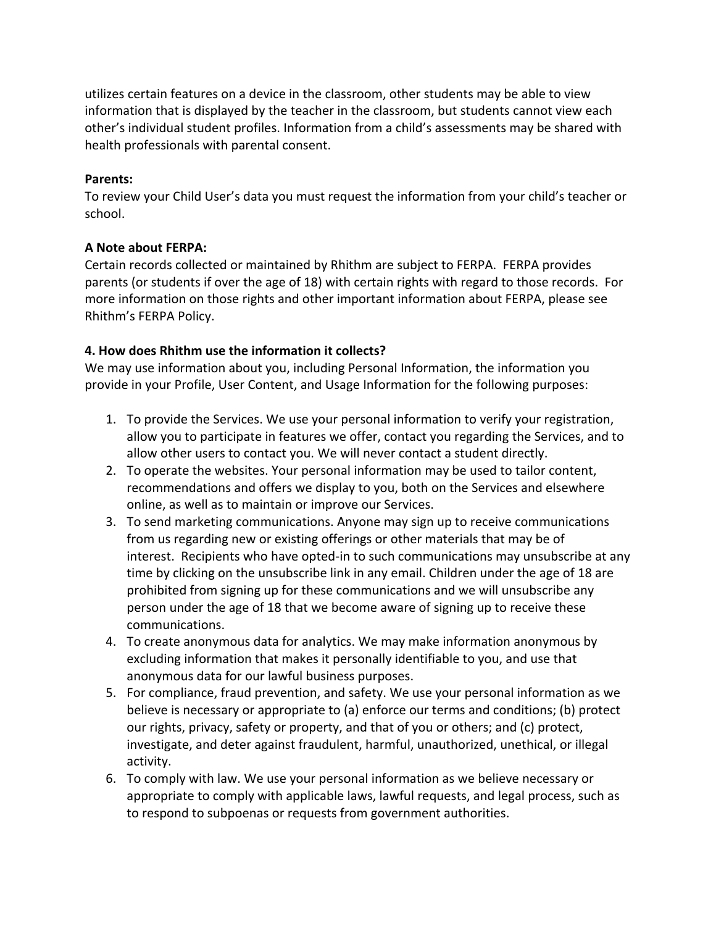utilizes certain features on a device in the classroom, other students may be able to view information that is displayed by the teacher in the classroom, but students cannot view each other's individual student profiles. Information from a child's assessments may be shared with health professionals with parental consent.

#### **Parents:**

To review your Child User's data you must request the information from your child's teacher or school.

### **A Note about FERPA:**

Certain records collected or maintained by Rhithm are subject to FERPA. FERPA provides parents (or students if over the age of 18) with certain rights with regard to those records. For more information on those rights and other important information about FERPA, please see Rhithm's FERPA Policy.

### **4. How does Rhithm use the information it collects?**

We may use information about you, including Personal Information, the information you provide in your Profile, User Content, and Usage Information for the following purposes:

- 1. To provide the Services. We use your personal information to verify your registration, allow you to participate in features we offer, contact you regarding the Services, and to allow other users to contact you. We will never contact a student directly.
- 2. To operate the websites. Your personal information may be used to tailor content, recommendations and offers we display to you, both on the Services and elsewhere online, as well as to maintain or improve our Services.
- 3. To send marketing communications. Anyone may sign up to receive communications from us regarding new or existing offerings or other materials that may be of interest. Recipients who have opted-in to such communications may unsubscribe at any time by clicking on the unsubscribe link in any email. Children under the age of 18 are prohibited from signing up for these communications and we will unsubscribe any person under the age of 18 that we become aware of signing up to receive these communications.
- 4. To create anonymous data for analytics. We may make information anonymous by excluding information that makes it personally identifiable to you, and use that anonymous data for our lawful business purposes.
- 5. For compliance, fraud prevention, and safety. We use your personal information as we believe is necessary or appropriate to (a) enforce our terms and conditions; (b) protect our rights, privacy, safety or property, and that of you or others; and (c) protect, investigate, and deter against fraudulent, harmful, unauthorized, unethical, or illegal activity.
- 6. To comply with law. We use your personal information as we believe necessary or appropriate to comply with applicable laws, lawful requests, and legal process, such as to respond to subpoenas or requests from government authorities.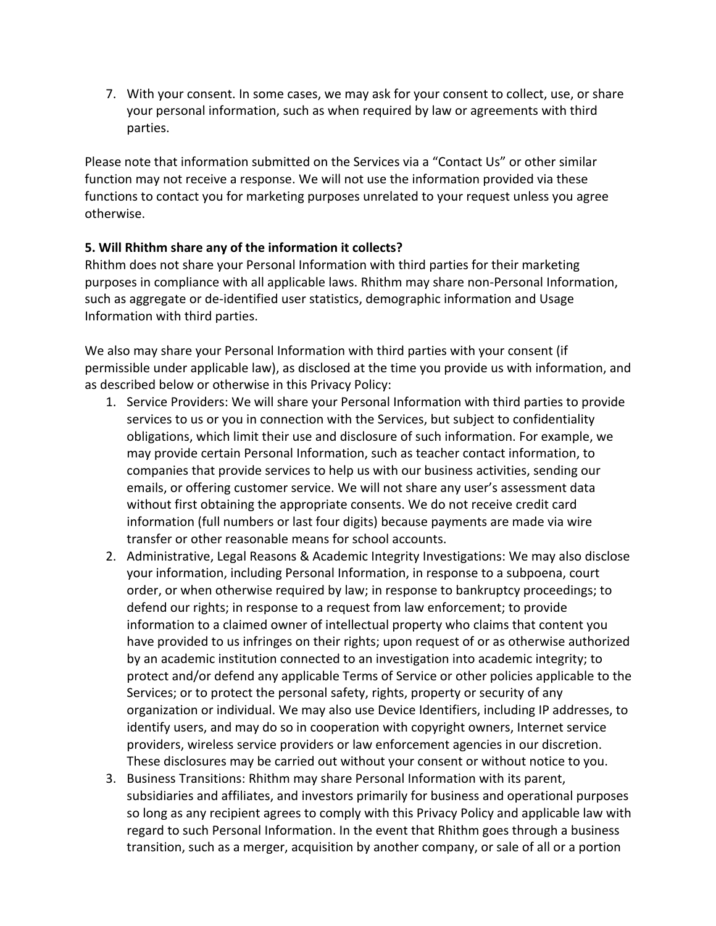7. With your consent. In some cases, we may ask for your consent to collect, use, or share your personal information, such as when required by law or agreements with third parties.

Please note that information submitted on the Services via a "Contact Us" or other similar function may not receive a response. We will not use the information provided via these functions to contact you for marketing purposes unrelated to your request unless you agree otherwise.

### **5. Will Rhithm share any of the information it collects?**

Rhithm does not share your Personal Information with third parties for their marketing purposes in compliance with all applicable laws. Rhithm may share non-Personal Information, such as aggregate or de-identified user statistics, demographic information and Usage Information with third parties.

We also may share your Personal Information with third parties with your consent (if permissible under applicable law), as disclosed at the time you provide us with information, and as described below or otherwise in this Privacy Policy:

- 1. Service Providers: We will share your Personal Information with third parties to provide services to us or you in connection with the Services, but subject to confidentiality obligations, which limit their use and disclosure of such information. For example, we may provide certain Personal Information, such as teacher contact information, to companies that provide services to help us with our business activities, sending our emails, or offering customer service. We will not share any user's assessment data without first obtaining the appropriate consents. We do not receive credit card information (full numbers or last four digits) because payments are made via wire transfer or other reasonable means for school accounts.
- 2. Administrative, Legal Reasons & Academic Integrity Investigations: We may also disclose your information, including Personal Information, in response to a subpoena, court order, or when otherwise required by law; in response to bankruptcy proceedings; to defend our rights; in response to a request from law enforcement; to provide information to a claimed owner of intellectual property who claims that content you have provided to us infringes on their rights; upon request of or as otherwise authorized by an academic institution connected to an investigation into academic integrity; to protect and/or defend any applicable Terms of Service or other policies applicable to the Services; or to protect the personal safety, rights, property or security of any organization or individual. We may also use Device Identifiers, including IP addresses, to identify users, and may do so in cooperation with copyright owners, Internet service providers, wireless service providers or law enforcement agencies in our discretion. These disclosures may be carried out without your consent or without notice to you.
- 3. Business Transitions: Rhithm may share Personal Information with its parent, subsidiaries and affiliates, and investors primarily for business and operational purposes so long as any recipient agrees to comply with this Privacy Policy and applicable law with regard to such Personal Information. In the event that Rhithm goes through a business transition, such as a merger, acquisition by another company, or sale of all or a portion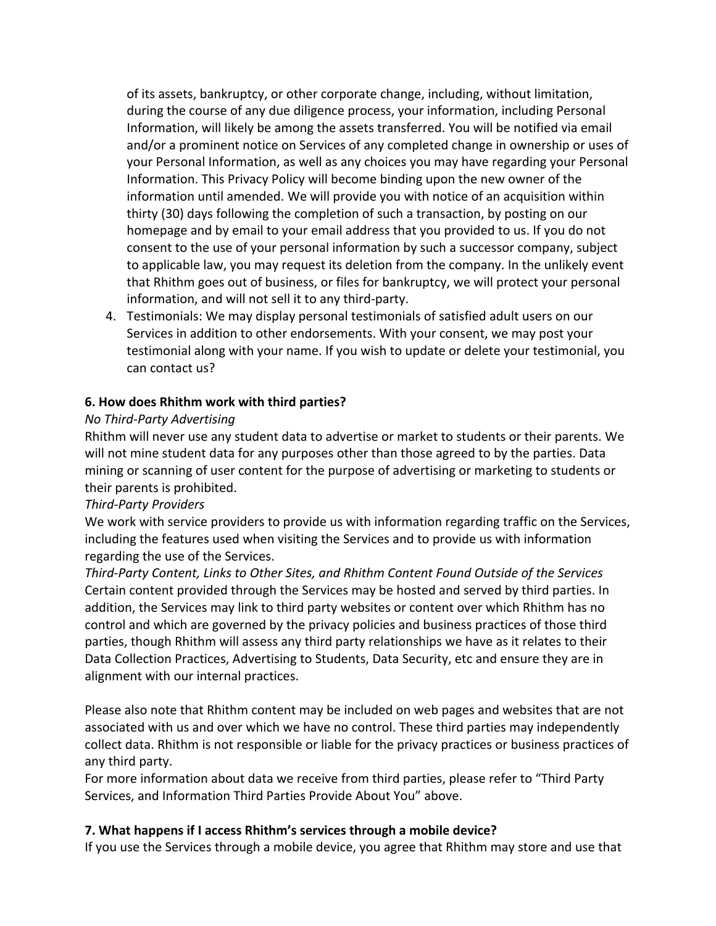of its assets, bankruptcy, or other corporate change, including, without limitation, during the course of any due diligence process, your information, including Personal Information, will likely be among the assets transferred. You will be notified via email and/or a prominent notice on Services of any completed change in ownership or uses of your Personal Information, as well as any choices you may have regarding your Personal Information. This Privacy Policy will become binding upon the new owner of the information until amended. We will provide you with notice of an acquisition within thirty (30) days following the completion of such a transaction, by posting on our homepage and by email to your email address that you provided to us. If you do not consent to the use of your personal information by such a successor company, subject to applicable law, you may request its deletion from the company. In the unlikely event that Rhithm goes out of business, or files for bankruptcy, we will protect your personal information, and will not sell it to any third-party.

4. Testimonials: We may display personal testimonials of satisfied adult users on our Services in addition to other endorsements. With your consent, we may post your testimonial along with your name. If you wish to update or delete your testimonial, you can contact us?

### **6. How does Rhithm work with third parties?**

### *No Third-Party Advertising*

Rhithm will never use any student data to advertise or market to students or their parents. We will not mine student data for any purposes other than those agreed to by the parties. Data mining or scanning of user content for the purpose of advertising or marketing to students or their parents is prohibited.

### *Third-Party Providers*

We work with service providers to provide us with information regarding traffic on the Services, including the features used when visiting the Services and to provide us with information regarding the use of the Services.

*Third-Party Content, Links to Other Sites, and Rhithm Content Found Outside of the Services* Certain content provided through the Services may be hosted and served by third parties. In addition, the Services may link to third party websites or content over which Rhithm has no control and which are governed by the privacy policies and business practices of those third parties, though Rhithm will assess any third party relationships we have as it relates to their Data Collection Practices, Advertising to Students, Data Security, etc and ensure they are in alignment with our internal practices.

Please also note that Rhithm content may be included on web pages and websites that are not associated with us and over which we have no control. These third parties may independently collect data. Rhithm is not responsible or liable for the privacy practices or business practices of any third party.

For more information about data we receive from third parties, please refer to "Third Party Services, and Information Third Parties Provide About You" above.

### **7. What happens if I access Rhithm's services through a mobile device?**

If you use the Services through a mobile device, you agree that Rhithm may store and use that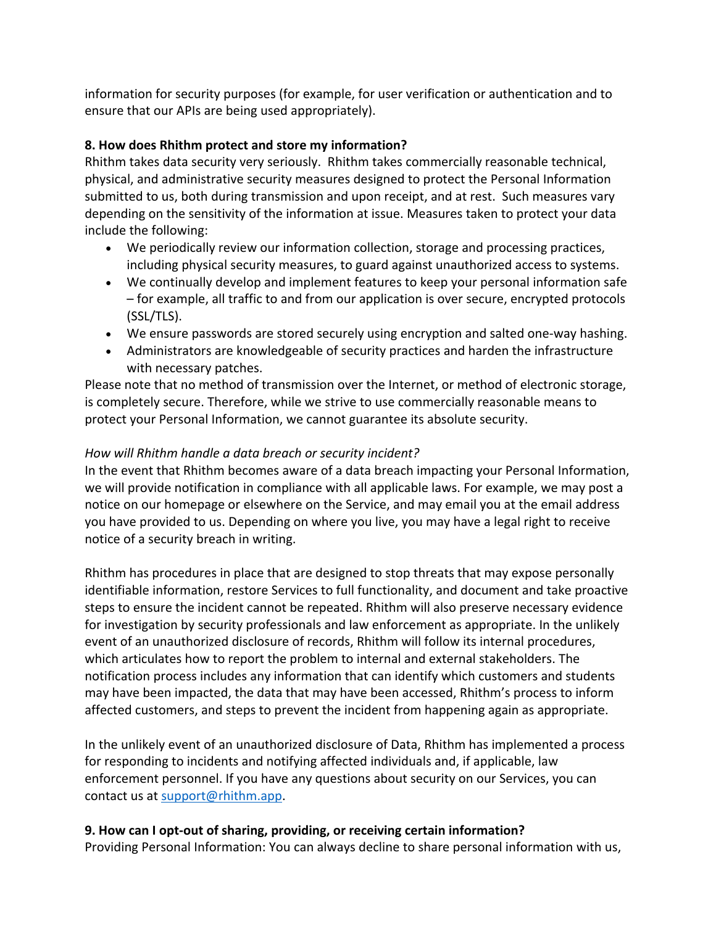information for security purposes (for example, for user verification or authentication and to ensure that our APIs are being used appropriately).

## **8. How does Rhithm protect and store my information?**

Rhithm takes data security very seriously. Rhithm takes commercially reasonable technical, physical, and administrative security measures designed to protect the Personal Information submitted to us, both during transmission and upon receipt, and at rest. Such measures vary depending on the sensitivity of the information at issue. Measures taken to protect your data include the following:

- We periodically review our information collection, storage and processing practices, including physical security measures, to guard against unauthorized access to systems.
- We continually develop and implement features to keep your personal information safe – for example, all traffic to and from our application is over secure, encrypted protocols (SSL/TLS).
- We ensure passwords are stored securely using encryption and salted one-way hashing.
- Administrators are knowledgeable of security practices and harden the infrastructure with necessary patches.

Please note that no method of transmission over the Internet, or method of electronic storage, is completely secure. Therefore, while we strive to use commercially reasonable means to protect your Personal Information, we cannot guarantee its absolute security.

## *How will Rhithm handle a data breach or security incident?*

In the event that Rhithm becomes aware of a data breach impacting your Personal Information, we will provide notification in compliance with all applicable laws. For example, we may post a notice on our homepage or elsewhere on the Service, and may email you at the email address you have provided to us. Depending on where you live, you may have a legal right to receive notice of a security breach in writing.

Rhithm has procedures in place that are designed to stop threats that may expose personally identifiable information, restore Services to full functionality, and document and take proactive steps to ensure the incident cannot be repeated. Rhithm will also preserve necessary evidence for investigation by security professionals and law enforcement as appropriate. In the unlikely event of an unauthorized disclosure of records, Rhithm will follow its internal procedures, which articulates how to report the problem to internal and external stakeholders. The notification process includes any information that can identify which customers and students may have been impacted, the data that may have been accessed, Rhithm's process to inform affected customers, and steps to prevent the incident from happening again as appropriate.

In the unlikely event of an unauthorized disclosure of Data, Rhithm has implemented a process for responding to incidents and notifying affected individuals and, if applicable, law enforcement personnel. If you have any questions about security on our Services, you can contact us at support@rhithm.app.

# **9. How can I opt-out of sharing, providing, or receiving certain information?**

Providing Personal Information: You can always decline to share personal information with us,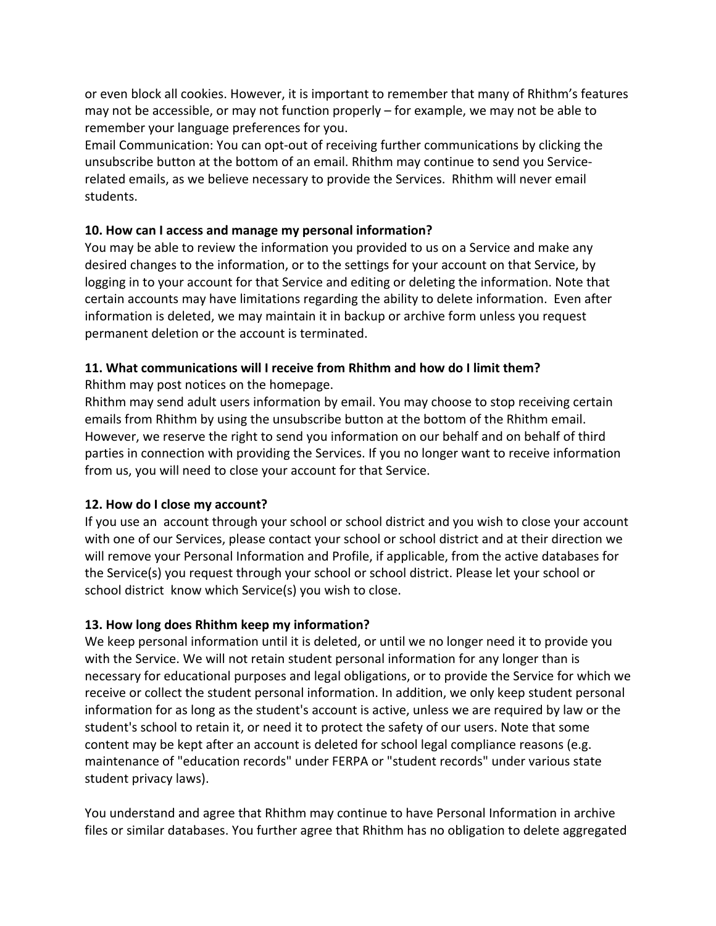or even block all cookies. However, it is important to remember that many of Rhithm's features may not be accessible, or may not function properly – for example, we may not be able to remember your language preferences for you.

Email Communication: You can opt-out of receiving further communications by clicking the unsubscribe button at the bottom of an email. Rhithm may continue to send you Servicerelated emails, as we believe necessary to provide the Services. Rhithm will never email students.

### **10. How can I access and manage my personal information?**

You may be able to review the information you provided to us on a Service and make any desired changes to the information, or to the settings for your account on that Service, by logging in to your account for that Service and editing or deleting the information. Note that certain accounts may have limitations regarding the ability to delete information. Even after information is deleted, we may maintain it in backup or archive form unless you request permanent deletion or the account is terminated.

# **11. What communications will I receive from Rhithm and how do I limit them?**

Rhithm may post notices on the homepage.

Rhithm may send adult users information by email. You may choose to stop receiving certain emails from Rhithm by using the unsubscribe button at the bottom of the Rhithm email. However, we reserve the right to send you information on our behalf and on behalf of third parties in connection with providing the Services. If you no longer want to receive information from us, you will need to close your account for that Service.

# **12. How do I close my account?**

If you use an account through your school or school district and you wish to close your account with one of our Services, please contact your school or school district and at their direction we will remove your Personal Information and Profile, if applicable, from the active databases for the Service(s) you request through your school or school district. Please let your school or school district know which Service(s) you wish to close.

# **13. How long does Rhithm keep my information?**

We keep personal information until it is deleted, or until we no longer need it to provide you with the Service. We will not retain student personal information for any longer than is necessary for educational purposes and legal obligations, or to provide the Service for which we receive or collect the student personal information. In addition, we only keep student personal information for as long as the student's account is active, unless we are required by law or the student's school to retain it, or need it to protect the safety of our users. Note that some content may be kept after an account is deleted for school legal compliance reasons (e.g. maintenance of "education records" under FERPA or "student records" under various state student privacy laws).

You understand and agree that Rhithm may continue to have Personal Information in archive files or similar databases. You further agree that Rhithm has no obligation to delete aggregated